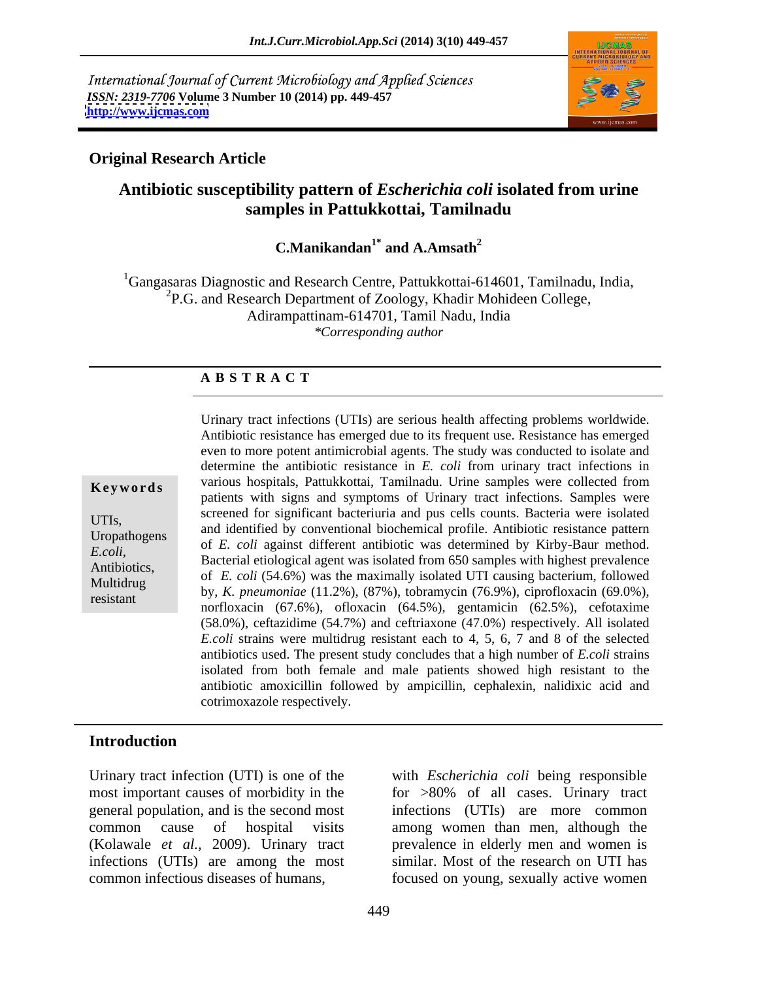International Journal of Current Microbiology and Applied Sciences *ISSN: 2319-7706* **Volume 3 Number 10 (2014) pp. 449-457 <http://www.ijcmas.com>**



### **Original Research Article**

## **Antibiotic susceptibility pattern of** *Escherichia coli* **isolated from urine samples in Pattukkottai, Tamilnadu**

**C.Manikandan1\* and A.Amsath<sup>2</sup>**

<sup>1</sup>Gangasaras Diagnostic and Research Centre, Pattukkottai-614601, Tamilnadu, India, <sup>2</sup>P.G. and Research Department of Zoology, Khadir Mohideen College, Adirampattinam-614701, Tamil Nadu, India *\*Corresponding author*

### **A B S T R A C T**

**Keywords** various hospitals, Pattukkottai, Tamilnadu. Urine samples were collected from UTIs,<br>and identified by conventional biochemical profile. Antibiotic resistance pattern<br>Uronathogons Uropathogens and definited by conventional biochemical profile. Antibiotic resistance pattern<br>  $F_{\text{e}}$  *E. coli* against different antibiotic was determined by Kirby-Baur method. *E.coli,*<br> **Bacterial etiological agent was isolated from 650 samples with highest prevalence** Antibiotics,<br>
of *E. coli* (54.6%) was the maximally isolated UTI causing bacterium, followed Multidrug by, *K. pneumoniae* (11.2%), (87%), tobramycin (76.9%), ciprofloxacin (69.0%), https://www. resistant by, K. phelmontae (11.2%), (67%), cobalitychi (62.5%), ciprofioxacin (62.6%), norfloxacin (67.6%), ofloxacin (64.5%), gentamicin (62.5%), cefotaxime Urinary tract infections (UTIs) are serious health affecting problems worldwide. Antibiotic resistance has emerged due to its frequent use. Resistance has emerged even to more potent antimicrobial agents. The study was conducted to isolate and determine the antibiotic resistance in *E. coli* from urinary tract infections in patients with signs and symptoms of Urinary tract infections. Samples were screened for significant bacteriuria and pus cells counts. Bacteria were isolated (58.0%), ceftazidime (54.7%) and ceftriaxone (47.0%) respectively. All isolated *E.coli* strains were multidrug resistant each to 4, 5, 6, 7 and 8 of the selected antibiotics used. The present study concludes that a high number of *E.coli* strains isolated from both female and male patients showed high resistant to the antibiotic amoxicillin followed by ampicillin, cephalexin, nalidixic acid and cotrimoxazole respectively.

### **Introduction**

Urinary tract infection (UTI) is one of the with *Escherichia coli* being responsible most important causes of morbidity in the for >80% of all cases. Urinary tract general population, and is the second most common cause of hospital visits among women than men, although the (Kolawale *et al.*, 2009). Urinary tract prevalence in elderly men and women is infections (UTIs) are among the most common infectious diseases of humans, focused on young, sexually activewomen

infections (UTIs) are more common among women than men, although the prevalence in elderly men and women is similar. Most of the research on UTI has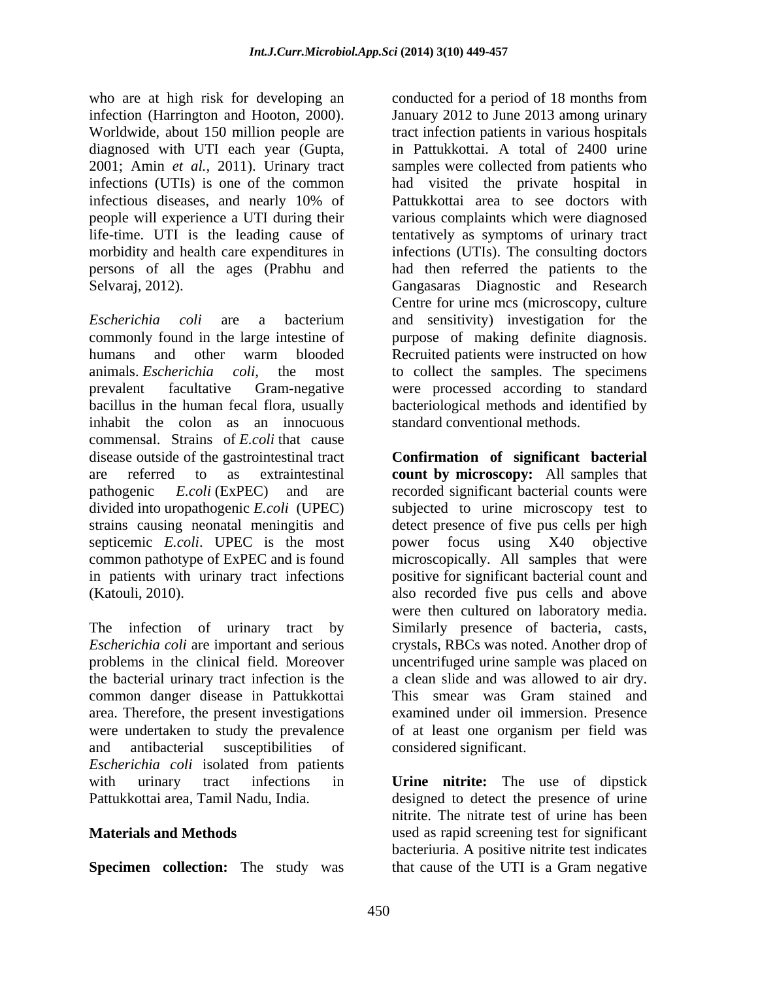who are at high risk for developing an conducted for a period of 18 months from infection (Harrington and Hooton, 2000). January 2012 to June 2013 among urinary Worldwide, about 150 million people are diagnosed with UTI each year (Gupta, in Pattukkottai. A total of 2400 urine 2001; Amin *et al.,* 2011). Urinary tract infections (UTIs) is one of the common had visited the private hospital in infectious diseases, and nearly 10% of people will experience a UTI during their life-time. UTI is the leading cause of tentatively as symptoms of urinary tract morbidity and health care expenditures in infections (UTIs). The consulting doctors persons of all the ages (Prabhu and had then referred the patients to the Selvaraj, 2012). Gangasaras Diagnostic and Research

*Escherichia coli* are a bacterium commonly found in the large intestine of purpose of making definite diagnosis. humans and other warm blooded Recruited patients were instructed on how animals. *Escherichia coli,* the most to collect the samples. The specimens prevalent facultative Gram-negative were processed according to standard bacillus in the human fecal flora, usually bacteriological methods and identified by inhabit the colon as an innocuous commensal. Strains of *E.coli* that cause disease outside of the gastrointestinal tract **Confirmation of significant bacterial** are referred to as extraintestinal **count by microscopy:** All samples that pathogenic *E.coli* (ExPEC) and are recorded significant bacterial counts were divided into uropathogenic *E.coli* (UPEC) strains causing neonatal meningitis and detect presence of five pus cells per high septicemic *E.coli*. UPEC is the most power focus using X40 objective common pathotype of ExPEC and is found microscopically. All samples that were in patients with urinary tract infections positive for significant bacterial count and (Katouli, 2010). also recorded five pus cells and above

The infection of urinary tract by Similarly presence of bacteria, casts, *Escherichia coli* are important and serious crystals, RBCs was noted. Another drop of problems in the clinical field. Moreover uncentrifuged urine sample was placed on the bacterial urinary tract infection is the a clean slide and was allowed to air dry. common danger disease in Pattukkottai area. Therefore, the present investigations were undertaken to study the prevalence of at least one organism per field was and antibacterial susceptibilities of *Escherichia coli* isolated from patients with urinary tract infections in **Urine nitrite:** The use of dipstick

**Specimen collection:** The study was that cause of the UTI is a Gram negative

tract infection patients in various hospitals samples were collected from patients who Pattukkottai area to see doctors with various complaints which were diagnosed Centre for urine mcs (microscopy, culture and sensitivity) investigation for the standard conventional methods.

subjected to urine microscopy test to were then cultured on laboratory media. This smear was Gram stained and examined under oil immersion. Presence considered significant.

Pattukkottai area, Tamil Nadu, India. designed to detect the presence of urine **Materials and Methods**  used as rapid screening test for significant nitrite. The nitrate test of urine has been bacteriuria. A positive nitrite test indicates that cause of the UTI is a Gram negative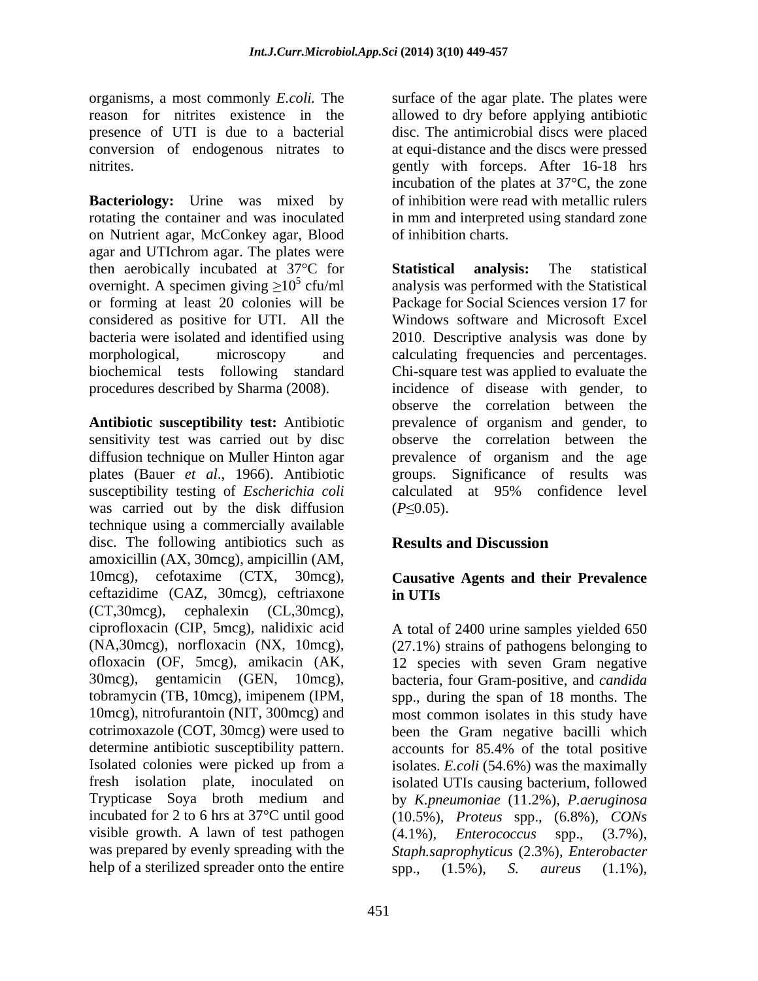organisms, a most commonly *E.coli.* The surface of the agar plate. The plates were reason for nitrites existence in the allowed to dry before applying antibiotic presence of UTI is due to a bacterial disc. The antimicrobial discs were placed conversion of endogenous nitrates to

**Bacteriology:** Urine was mixed by of inhibition were read with metallic rulers rotating the container and was inoculated in mm and interpreted using standard zone on Nutrient agar, McConkey agar, Blood agar and UTIchrom agar. The plates were then aerobically incubated at 37°C for **Statistical analysis:** The statistical overnight. A specimen giving  $\geq 10^5$  cfu/ml<br>or forming at least 20 colonies will be or forming at least 20 colonies will be Package for Social Sciences version 17 for considered as positive for UTI. All the bacteria were isolated and identified using 2010. Descriptive analysis was done by morphological, microscopy and calculating frequencies and percentages. biochemical tests following standard Chi-square test was applied to evaluate the procedures described by Sharma (2008).

**Antibiotic susceptibility test:** Antibiotic prevalence of organism and gender, to sensitivity test was carried out by disc diffusion technique on Muller Hinton agar prevalence of organism and the age plates (Bauer *et al*., 1966). Antibiotic susceptibility testing of *Escherichia coli* was carried out by the disk diffusion  $(P \le 0.05)$ . technique using a commercially available disc. The following antibiotics such as **Results and Discussion** amoxicillin (AX, 30mcg), ampicillin (AM, 10mcg), cefotaxime (CTX, 30mcg), **Causative Agents and their Prevalence** ceftazidime (CAZ, 30mcg), ceftriaxone (CT,30mcg), cephalexin (CL,30mcg), ciprofloxacin (CIP, 5mcg), nalidixic acid ciprofloxacin (CIP, 5mcg), nalidixic acid A total of 2400 urine samples yielded 650 (NA,30mcg), norfloxacin (NX, 10mcg), (27.1%) strains of pathogens belonging to ofloxacin (OF, 5mcg), amikacin (AK, 30mcg), gentamicin (GEN, 10mcg), bacteria, four Gram-positive, and *candida*  tobramycin (TB, 10mcg), imipenem (IPM, spp., during the span of 18 months. The 10mcg), nitrofurantoin (NIT, 300mcg) and most common isolates in this study have cotrimoxazole (COT, 30mcg) were used to been the Gram negative bacilli which determine antibiotic susceptibility pattern. accounts for 85.4% of the total positive Isolated colonies were picked up from a isolates. *E.coli* (54.6%) was the maximally fresh isolation plate, inoculated on isolated UTIs causing bacterium, followed Trypticase Soya broth medium and by *K.pneumoniae* (11.2%)*, P.aeruginosa* incubated for 2 to 6 hrs at 37°C until good (10.5%)*, Proteus* spp., (6.8%)*, CONs* visible growth. A lawn of test pathogen  $(4.1\%)$ , *Enterococcus* spp.,  $(3.7\%)$ , was prepared by evenly spreading with the *Staph.saprophyticus* (2.3%)*, Enterobacter* help of a sterilized spreader onto the entire  $\qquad \qquad$  spp.,  $(1.5\%)$ , S. *aureus*  $(1.1\%)$ ,

nitrites. gently with forceps. After 16-18 hrs at equi-distance and the discs were pressed incubation of the plates at 37°C, the zone of inhibition charts.

> <sup>5</sup> cfu/ml analysis was performed with the Statistical **Statistical analysis:** The statistical Windows software and Microsoft Excel incidence of disease with gender, to observe the correlation between the observe the correlation between the groups. Significance of results calculated at 95% confidence level  $(P \le 0.05)$ .

### **Results and Discussion**

# **in UTIs**

12 species with seven Gram negative (4.1%)*, Enterococcus* spp., (3.7%), spp., (1.5%)*, S. aureus* (1.1%)*,*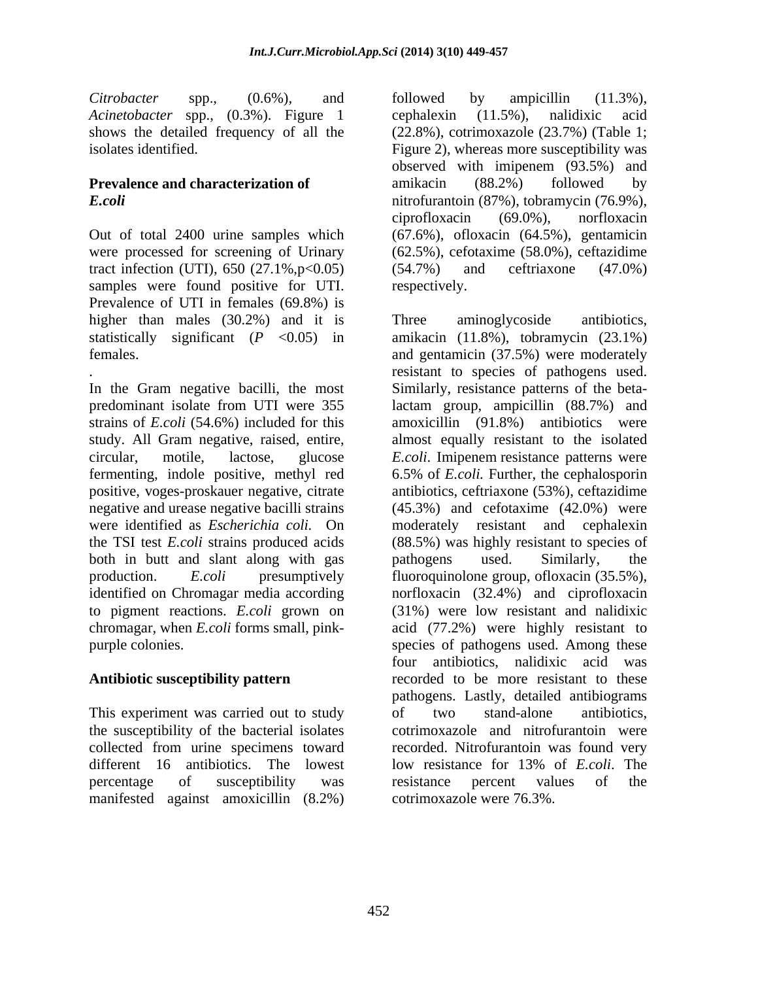*Citrobacter* spp., (0.6%)*,* and

were processed for screening of Urinary tract infection (UTI), 650  $(27.1\%, p<0.05)$   $(54.7\%)$  and ceftriaxone  $(47.0\%)$ samples were found positive for UTI. respectively. Prevalence of UTI in females (69.8%) is higher than males (30.2%) and it is Three aminoglycoside antibiotics,

predominant isolate from UTI were 355 lactam group, ampicillin (88.7%) and strains of *E.coli* (54.6%) included for this amoxicillin (91.8%) antibiotics were study. All Gram negative, raised, entire, almost equally resistant to the isolated circular, motile, lactose, glucose *E.coli*. Imipenem resistance patterns were fermenting, indole positive, methyl red 6.5% of *E.coli.* Further, the cephalosporin positive, voges-proskauer negative, citrate antibiotics, ceftriaxone (53%), ceftazidime negative and urease negative bacilli strains (45.3%) and cefotaxime (42.0%) were were identified as *Escherichia coli.* On moderately resistant and cephalexin the TSI test *E.coli* strains produced acids (88.5%) was highly resistant to species of both in butt and slant along with gas both paradiogens used. Similarly, the production. *E.coli* presumptively fluoroquinolone group, ofloxacin (35.5%), identified on Chromagar media according norfloxacin (32.4%) and ciprofloxacin to pigment reactions. *E.coli* grown on chromagar, when *E.coli* forms small, pink- acid (77.2%) were highly resistant to purple colonies. species of pathogens used. Among these

This experiment was carried out to study of two stand-alone antibiotics, the susceptibility of the bacterial isolates different 16 antibiotics. The lowest low resistance for 13% of *E.coli*. The manifested against amoxicillin (8.2%)

*Acinetobacter* spp., (0.3%). Figure 1 shows the detailed frequency of all the (22.8%), cotrimoxazole (23.7%) (Table 1; isolates identified. Figure 2), whereas more susceptibility was **Prevalence and characterization of** amikacin (88.2%) followed by *E.coli* nitrofurantoin (87%), tobramycin (76.9%), Out of total 2400 urine samples which (67.6%), ofloxacin (64.5%), gentamicin followed by ampicillin (11.3%), cephalexin (11.5%), nalidixic acid observed with imipenem (93.5%) and amikacin (88.2%) followed by ciprofloxacin (69.0%), norfloxacin (62.5%), cefotaxime (58.0%), ceftazidime (54.7%) and ceftriaxone (47.0%) respectively.

statistically significant (*P* <0.05) in amikacin (11.8%), tobramycin (23.1%) females. and gentamicin (37.5%) were moderately .<br>In the Gram negative bacilli, the most<br>In the Gram negative bacilli, the most<br>Similarly, resistance patterns of the beta-**Antibiotic susceptibility pattern** recorded to be more resistant to these collected from urine specimens toward recorded. Nitrofurantoin was found very percentage of susceptibility was resistance percent values of the Three aminoglycoside antibiotics, resistant to species of pathogens used. Similarly, resistance patterns of the betapathogens used. Similarly, the (31%) were low resistant and nalidixic four antibiotics, nalidixic acid was pathogens. Lastly, detailed antibiograms of two stand-alone antibiotics, cotrimoxazole and nitrofurantoin were low resistance for 13% of *E.coli*. The resistance percent values of the cotrimoxazole were 76.3%.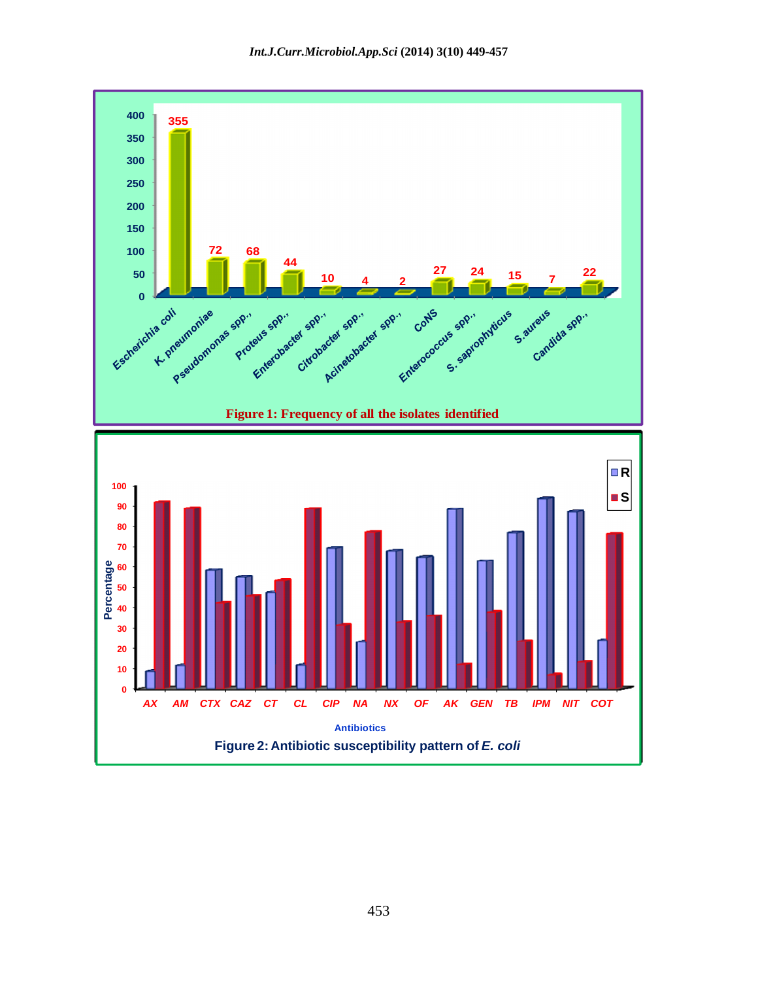*Int.J.Curr.Microbiol.App.Sci* **(2014) 3(10) 449-457**

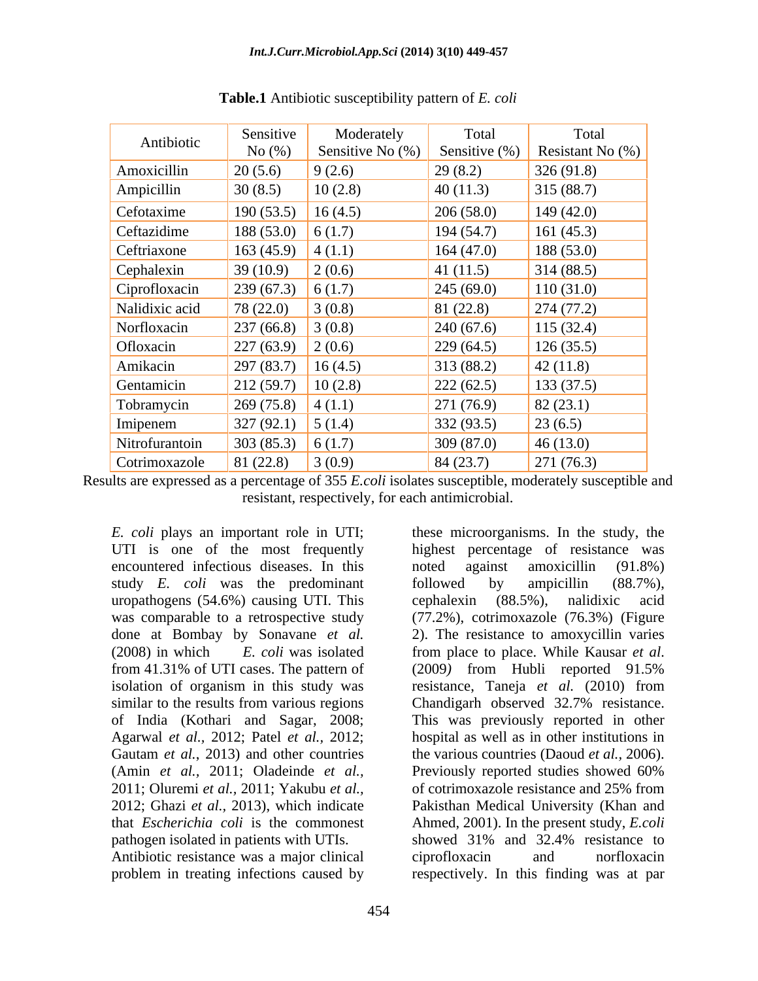| Antibiotic       | Sensitive                                    | Moderately                           | Total       | Total            |
|------------------|----------------------------------------------|--------------------------------------|-------------|------------------|
|                  | No $(\%)$                                    | Sensitive No $(\%)$ Sensitive $(\%)$ |             | Resistant No (%) |
| Amoxicillin      | 20(5.6)                                      | 9(2.6)                               | 29(8.2)     | 326(91.8)        |
| Ampicillin       | 30(8.5)                                      | 10(2.8)                              | 40(11.3)    | 315(88.7)        |
| Cefotaxime       | 190(53.5)                                    | 16(4.5)                              | 206(58.0)   | 149(42.0)        |
| Ceftazidime      | 188 (53.0) 6 (1.7)                           |                                      | 194(54.7)   | 161(45.3)        |
| Ceftriaxone      | 163 (45.9) $\mid$ 4 (1.1)                    |                                      | 164(47.0)   | 188(53.0)        |
| Cephalexin       | 39(10.9)                                     | 2(0.6)                               | 41 $(11.5)$ | 314(88.5)        |
| Ciprofloxacin    | $\vert$ 239 (67.3) $\vert$ 6 (1.7)           |                                      | 245(69.0)   | 110(31.0)        |
| Nalidixic acid   | 78 (22.0)                                    | 3(0.8)                               | 81(22.8)    | 274(77.2)        |
| Norfloxacin      | $\vert 237(66.8) \vert 3(0.8) \vert$         |                                      | 240(67.6)   | 115(32.4)        |
| <b>Ofloxacin</b> | $\vert 227(63.9) \vert 2(0.6) \vert$         |                                      | 229(64.5)   | 126(35.5)        |
| Amikacin         | 297(83.7)                                    | 16(4.5)                              | 313(88.2)   | 42(11.8)         |
| Gentamicin       | $\vert$ 212 (59.7) $\vert$ 10 (2.8)          |                                      | 222(62.5)   | 133(37.5)        |
| Tobramycin       | $\vert 269 \, (75.8) \vert 4 \, (1.1) \vert$ |                                      | 271(76.9)   | 82(23.1)         |
| Imipenem         | $327 (92.1)$ 5 (1.4)                         |                                      | 332(93.5)   | 23(6.5)          |
| Nitrofurantoin   | $303(85.3)$ 6 (1.7)                          |                                      | 309(87.0)   | 46(13.0)         |
| Cotrimoxazole    | 81(22.8)                                     | 3(0.9)                               | 84(23.7)    | 271(76.3)        |

**Table.1** Antibiotic susceptibility pattern of *E. coli*

Results are expressed as a percentage of 355 *E.coli* isolates susceptible, moderately susceptible and resistant, respectively, for each antimicrobial.

UTI is one of the most frequently encountered infectious diseases. In this noted against amoxicillin (91.8%) study *E. coli* was the predominant followed by ampicillin (88.7%), uropathogens (54.6%) causing UTI. This (2008) in which *E. coli* was isolated isolation of organism in this study was resistance, Taneja et al. (2010) from Agarwal *et al.,* 2012; Patel *et al.,* 2012; (Amin *et al.,* 2011; Oladeinde *et al.,* 2011; Oluremi *et al.,* 2011; Yakubu *et al.,* pathogen isolated in patients with UTIs. Showed 31% and 32.4% resistance to Antibiotic resistance was a major clinical eiprofloxacin and norfloxacin

*E. coli* plays an important role in UTI; these microorganisms. In the study, the was comparable to a retrospective study (77.2%), cotrimoxazole (76.3%) (Figure done at Bombay by Sonavane *et al.* 2). The resistance to amoxycillin varies from 41.31% of UTI cases. The pattern of  $(2009)$  from Hubli reported 91.5% similar to the results from various regions Chandigarh observed 32.7% resistance. of India (Kothari and Sagar, 2008; This was previously reported in other Gautam *et al.*, 2013) and other countries the various countries (Daoud *et al.*, 2006). 2012; Ghazi *et al.,* 2013), which indicate Pakisthan Medical University (Khan and that *Escherichia coli* is the commonest Ahmed, 2001). In the present study, *E.coli*  problem in treating infections caused by respectively. In this finding was at parhighest percentage of resistance was noted against amoxicillin (91.8%) followed by ampicillin (88.7%), cephalexin (88.5%), nalidixic acid from place to place. While Kausar *et al*. (2009*)* from Hubli reported 91.5% resistance, Taneja *et al.* (2010) from hospital as well as in other institutions in Previously reported studies showed 60% of cotrimoxazole resistance and 25% from showed 31% and 32.4% resistance to ciprofloxacin and norfloxacin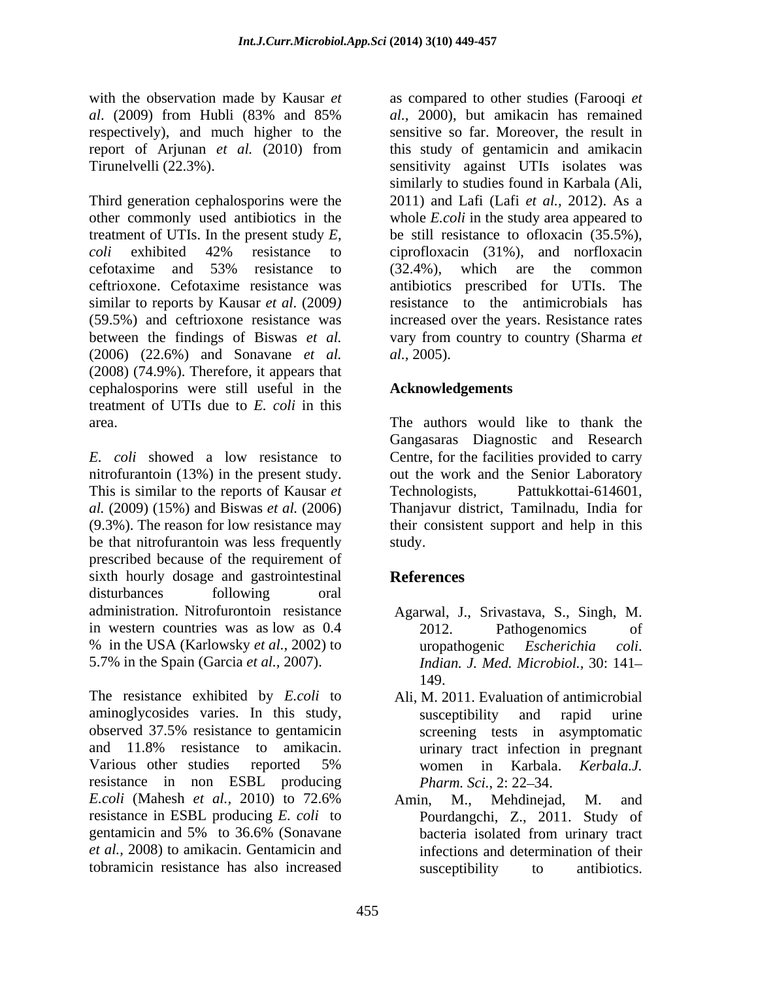respectively), and much higher to the

Third generation cephalosporins were the 2011) and Lafi (Lafi *et al.*, 2012). As a other commonly used antibiotics in the whole *E.coli* in the study area appeared to treatment of UTIs. In the present study  $E$ , be still resistance to ofloxacin  $(35.5\%)$ , coli exhibited  $42\%$  resistance to ciprofloxacin  $(31\%)$ , and norfloxacin cefotaxime and  $53\%$  resistance to  $(32.4\%)$ , which are the common ceftrioxone. Cefotaxime resistance was similar to reports by Kausar *et al*. (2009*)* (59.5%) and ceftrioxone resistance was increased over the years. Resistance rates between the findings of Biswas *et al.* vary from country to country (Sharma *et*  (2006) (22.6%) and Sonavane *et al.* (2008) (74.9%). Therefore, it appears that cephalosporins were still useful in the treatment of UTIs due to *E. coli* in this area. The authors would like to thank the

*E. coli* showed a low resistance to Centre, for the facilities provided to carry nitrofurantoin (13%) in the present study.  $\qquad \qquad$  out the work and the Senior Laboratory This is similar to the reports of Kausar *et* Technologists, *al.* (2009) (15%) and Biswas *et al.* (2006) Thanjavur district, Tamilnadu, India for (9.3%). The reason for low resistance may their consistent support and help in this be that nitrofurantoin was less frequently study. prescribed because of the requirement of sixth hourly dosage and gastrointestinal References disturbances following oral administration. Nitrofurontoin resistance Agarwal, J., Srivastava, S., Singh, M. in western countries was as low as  $0.4$  2012. Pathogenomics of % in the USA (Karlowsky *et al.,* 2002) to

aminoglycosides varies. In this study, observed 37.5% resistance to gentamicin and 11.8% resistance to amikacin. Various other studies reported 5% women in Karbala. Kerbala.J. resistance in non ESBL producing *Pharm. Sci.* 2: 22–34. *E.coli* (Mahesh *et al.,* 2010) to 72.6% resistance in ESBL producing *E. coli* to Pourdangchi, Z., 2011. Study of gentamicin and 5% to 36.6% (Sonavane *et al.,* 2008) to amikacin. Gentamicin and infections and determination of their tobramicin resistance has also increased

with the observation made by Kausar *et* as compared to other studies (Farooqi *et al*. (2009) from Hubli (83% and 85% report of Arjunan *et al.* (2010) from Tirunelvelli (22.3%). sensitivity against UTIs isolates was *al.,* 2000), but amikacin has remained sensitive so far. Moreover, the result in this study of gentamicin and amikacin similarly to studies found in Karbala (Ali, be still resistance to ofloxacin (35.5%), ciprofloxacin (31%), and norfloxacin (32.4%), which are the common antibiotics prescribed for UTIs. The resistance to the antimicrobials has *al.,* 2005).

### **Acknowledgements**

Gangasaras Diagnostic and Research Pattukkottai-614601, study.

# **References**

- 5.7% in the Spain (Garcia *et al.*, 2007). Indian. J. Med. Microbiol., 30: 141–<br>149. Interventing the resistance exhibited by *E.coli* to Ali, M. 2011. Evaluation of antimicrobial 2012. Pathogenomics of uropathogenic *Escherichia coli*. *Indian. J. Med. Microbiol.,* 30: 141 149.
	- Ali, M. 2011. Evaluation of antimicrobial susceptibility and rapid urine screening tests in asymptomatic urinary tract infection in pregnant women in Karbala. *Kerbala.J. Pharm. Sci., 2: 22–34.*
	- Amin, M., Mehdinejad, M. and bacteria isolated from urinary tract susceptibility to antibiotics.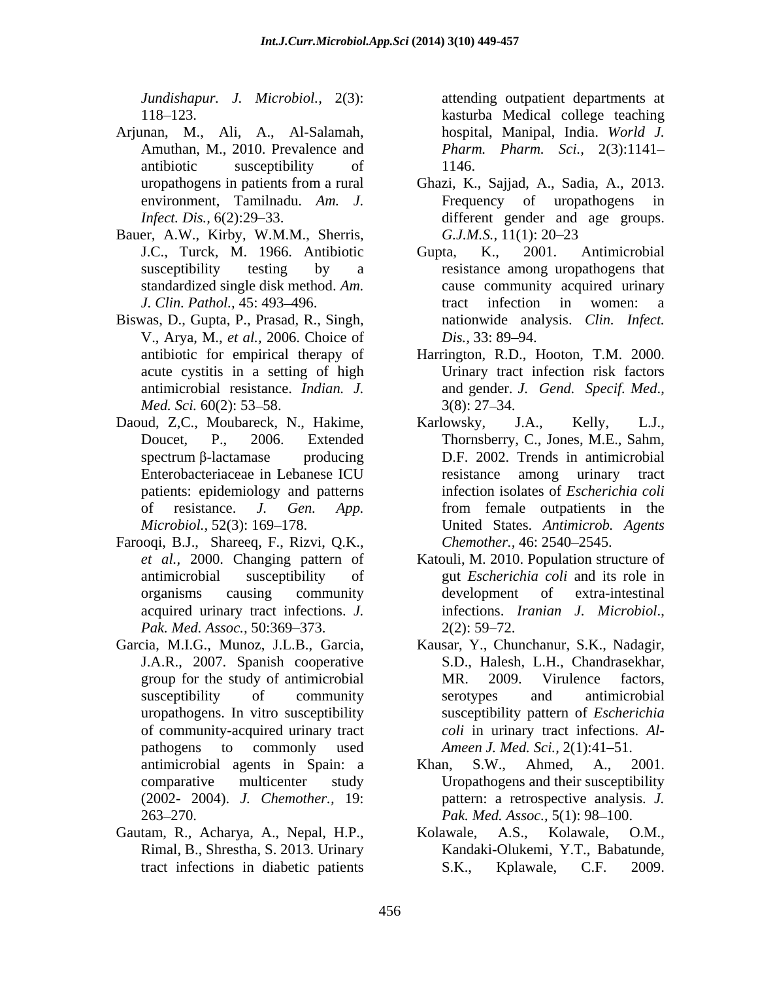- Arjunan, M., Ali, A., Al-Salamah, hospital, Manipal, India. World J. Amuthan, M., 2010. Prevalence and Pharm. Pharm. Sci., 2(3):1141antibiotic susceptibility of 1146.
- Bauer, A.W., Kirby, W.M.M., Sherris, G.J.M.S., 11(1): 20–23
- Biswas, D., Gupta, P., Prasad, R., Singh, V., Arya, M., *et al.,* 2006. Choice of
- Daoud, Z,C., Moubareck, N., Hakime, Karlowsky, J.A., Kelly, L.J., patients: epidemiology and patterns
- Farooqi, B.J., Shareeq, F., Rizvi, Q.K., *Pak. Med. Assoc.,* 50:369–373. 2(2): 59–72.
- Garcia, M.I.G., Munoz, J.L.B., Garcia, J.A.R., 2007. Spanish cooperative pathogens to commonly used *Ameen J. Med. Sci.*, 2(1):41–51.
- 

*Jundishapur. J. Microbiol.,* 2(3): attending outpatient departments at 118 123. kasturba Medical college teaching hospital, Manipal, India. *World J. Pharm. Pharm. Sci.,* 2(3):1141 1146.

- uropathogens in patients from a rural Ghazi, K., Sajjad, A., Sadia, A., 2013. environment, Tamilnadu. Am. J. Frequency of uropathogens in *Infect. Dis.*, 6(2):29–33. **different** gender and age groups. *G.J.M.S.,* 11(1): 20–23
- J.C., Turck, M. 1966. Antibiotic Gupta, K., 2001. Antimicrobial susceptibility testing by a resistance among uropathogens that standardized single disk method. *Am.*  cause community acquired urinary *J. Clin. Pathol.,* 45: 493–496. *Finally Partonial clinical in tract* infection in women: a Gupta, K., 2001. Antimicrobial tract infection in women: a nationwide analysis. *Clin. Infect. Dis.*, 33: 89–94.
- antibiotic for empirical therapy of Harrington, R.D., Hooton, T.M. 2000. acute cystitis in a setting of high Urinary tract infection risk factors antimicrobial resistance. *Indian. J. Med. Sci.* 60(2): 53–58. 3(8): 27–34. and gender. *J. Gend. Specif. Med.*, 3(8): 27–34.
- Doucet, P., 2006. Extended Thornsberry, C., Jones, M.E., Sahm,  $spectrum \beta$ -lactamase producing D.F. 2002. Trends in antimicrobial Enterobacteriaceae in Lebanese ICU of resistance. *J. Gen. App. Microbiol.,* 52(3): 169 178. United States. *Antimicrob. Agents* Karlowsky, J.A., Kelly, L.J., D.F. 2002. Trends in antimicrobial resistance among urinary tract infection isolates of *Escherichia coli* from female outpatients in the *Chemother., 46: 2540-2545.*
- *et al.,* 2000. Changing pattern of Katouli, M. 2010. Population structure of antimicrobial susceptibility of gut *Escherichia coli* and its role in organisms causing community acquired urinary tract infections.*J.* development of extra-intestinal infections. *Iranian J. Microbiol*., 2(2): <sup>59</sup> 72.
- group for the study of antimicrobial MR. 2009. Virulence factors, susceptibility of community serotypes and antimicrobial uropathogens. In vitro susceptibility susceptibility pattern of *Escherichia*  of community-acquired urinary tract *coli* in urinary tract infections.*Al-* Kausar, Y., Chunchanur, S.K., Nadagir, S.D., Halesh, L.H., Chandrasekhar, MR. 2009. Virulence factors, serotypes and antimicrobial
- antimicrobial agents in Spain: a Khan, S.W., Ahmed, A., 2001. comparative multicenter study Uropathogens and their susceptibility (2002- 2004). *J. Chemother.,* 19: pattern: a retrospective analysis. *J.* 263 270. *Pak. Med. Assoc.,* 5(1): 98 100. Khan, S.W., Ahmed, A., 2001.
- Gautam, R., Acharya, A., Nepal, H.P., Kolawale, A.S., Kolawale, O.M., Rimal, B., Shrestha, S. 2013. Urinary Kandaki-Olukemi, Y.T., Babatunde, tract infections in diabetic patients S.K., Kplawale, C.F. 2009. Kolawale, A.S., Kolawale, O.M., S.K., Kplawale, C.F. 2009.